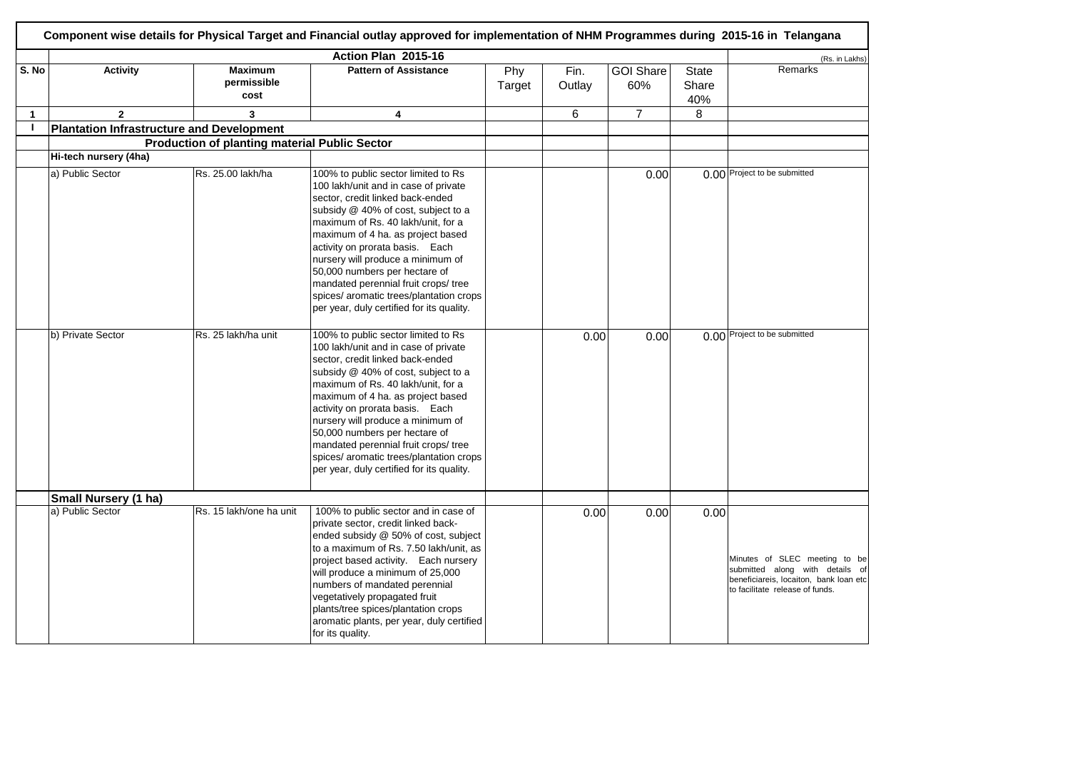|              | Component wise details for Physical Target and Financial outlay approved for implementation of NHM Programmes during 2015-16 in Telangana |                                                      |                                                                                                                                                                                                                                                                                                                                                                                                                                                                            |               |                |                         |                              |                                                                                                                                               |  |  |
|--------------|-------------------------------------------------------------------------------------------------------------------------------------------|------------------------------------------------------|----------------------------------------------------------------------------------------------------------------------------------------------------------------------------------------------------------------------------------------------------------------------------------------------------------------------------------------------------------------------------------------------------------------------------------------------------------------------------|---------------|----------------|-------------------------|------------------------------|-----------------------------------------------------------------------------------------------------------------------------------------------|--|--|
|              |                                                                                                                                           |                                                      | Action Plan 2015-16                                                                                                                                                                                                                                                                                                                                                                                                                                                        |               |                | (Rs. in Lakhs)          |                              |                                                                                                                                               |  |  |
| S. No        | <b>Activity</b>                                                                                                                           | <b>Maximum</b><br>permissible<br>cost                | <b>Pattern of Assistance</b>                                                                                                                                                                                                                                                                                                                                                                                                                                               | Phy<br>Target | Fin.<br>Outlay | <b>GOI Share</b><br>60% | <b>State</b><br>Share<br>40% | Remarks                                                                                                                                       |  |  |
| $\mathbf{1}$ | $\overline{2}$                                                                                                                            | $\overline{\mathbf{3}}$                              | $\overline{\mathbf{4}}$                                                                                                                                                                                                                                                                                                                                                                                                                                                    |               | 6              | $\overline{7}$          | 8                            |                                                                                                                                               |  |  |
| $\mathbf{I}$ | <b>Plantation Infrastructure and Development</b>                                                                                          |                                                      |                                                                                                                                                                                                                                                                                                                                                                                                                                                                            |               |                |                         |                              |                                                                                                                                               |  |  |
|              |                                                                                                                                           | <b>Production of planting material Public Sector</b> |                                                                                                                                                                                                                                                                                                                                                                                                                                                                            |               |                |                         |                              |                                                                                                                                               |  |  |
|              | Hi-tech nursery (4ha)                                                                                                                     |                                                      |                                                                                                                                                                                                                                                                                                                                                                                                                                                                            |               |                |                         |                              |                                                                                                                                               |  |  |
|              | a) Public Sector                                                                                                                          | Rs. 25.00 lakh/ha                                    | 100% to public sector limited to Rs<br>100 lakh/unit and in case of private<br>sector, credit linked back-ended<br>subsidy @ 40% of cost, subject to a<br>maximum of Rs. 40 lakh/unit, for a<br>maximum of 4 ha. as project based<br>activity on prorata basis. Each<br>nursery will produce a minimum of<br>50,000 numbers per hectare of<br>mandated perennial fruit crops/ tree<br>spices/ aromatic trees/plantation crops<br>per year, duly certified for its quality. |               |                | 0.00                    |                              | 0.00 Project to be submitted                                                                                                                  |  |  |
|              | b) Private Sector                                                                                                                         | Rs. 25 lakh/ha unit                                  | 100% to public sector limited to Rs<br>100 lakh/unit and in case of private<br>sector, credit linked back-ended<br>subsidy @ 40% of cost, subject to a<br>maximum of Rs. 40 lakh/unit, for a<br>maximum of 4 ha. as project based<br>activity on prorata basis. Each<br>nursery will produce a minimum of<br>50,000 numbers per hectare of<br>mandated perennial fruit crops/ tree<br>spices/ aromatic trees/plantation crops<br>per year, duly certified for its quality. |               | 0.00           | 0.00                    |                              | 0.00 Project to be submitted                                                                                                                  |  |  |
|              | Small Nursery (1 ha)                                                                                                                      |                                                      |                                                                                                                                                                                                                                                                                                                                                                                                                                                                            |               |                |                         |                              |                                                                                                                                               |  |  |
|              | a) Public Sector                                                                                                                          | Rs. 15 lakh/one ha unit                              | 100% to public sector and in case of<br>private sector, credit linked back-<br>ended subsidy @ 50% of cost, subject<br>to a maximum of Rs. 7.50 lakh/unit, as<br>project based activity. Each nursery<br>will produce a minimum of 25,000<br>numbers of mandated perennial<br>vegetatively propagated fruit<br>plants/tree spices/plantation crops<br>aromatic plants, per year, duly certified<br>for its quality.                                                        |               | 0.00           | 0.00                    | 0.00                         | Minutes of SLEC meeting to be<br>submitted along with details of<br>beneficiareis, locaiton, bank loan etc<br>to facilitate release of funds. |  |  |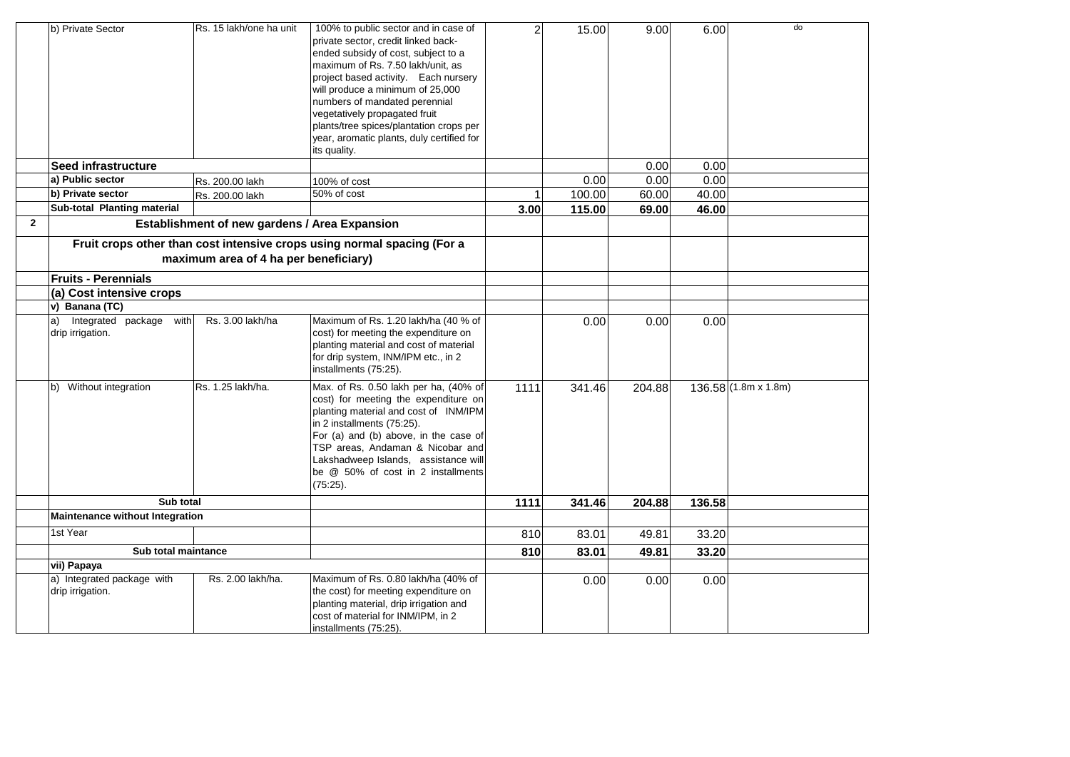|              | b) Private Sector                                 | Rs. 15 lakh/one ha unit                       | 100% to public sector and in case of<br>private sector, credit linked back-<br>ended subsidy of cost, subject to a<br>maximum of Rs. 7.50 lakh/unit, as<br>project based activity. Each nursery<br>will produce a minimum of 25,000<br>numbers of mandated perennial<br>vegetatively propagated fruit<br>plants/tree spices/plantation crops per<br>year, aromatic plants, duly certified for<br>its quality. | $\overline{c}$ | 15.00  | 9.00   | 6.00   | do                   |
|--------------|---------------------------------------------------|-----------------------------------------------|---------------------------------------------------------------------------------------------------------------------------------------------------------------------------------------------------------------------------------------------------------------------------------------------------------------------------------------------------------------------------------------------------------------|----------------|--------|--------|--------|----------------------|
|              | Seed infrastructure                               |                                               |                                                                                                                                                                                                                                                                                                                                                                                                               |                |        | 0.00   | 0.00   |                      |
|              | a) Public sector                                  | Rs. 200.00 lakh                               | 100% of cost                                                                                                                                                                                                                                                                                                                                                                                                  |                | 0.00   | 0.00   | 0.00   |                      |
|              | b) Private sector                                 | Rs. 200.00 lakh                               | 50% of cost                                                                                                                                                                                                                                                                                                                                                                                                   |                | 100.00 | 60.00  | 40.00  |                      |
|              | Sub-total Planting material                       |                                               |                                                                                                                                                                                                                                                                                                                                                                                                               | 3.00           | 115.00 | 69.00  | 46.00  |                      |
| $\mathbf{2}$ |                                                   | Establishment of new gardens / Area Expansion |                                                                                                                                                                                                                                                                                                                                                                                                               |                |        |        |        |                      |
|              | <b>Fruits - Perennials</b>                        | maximum area of 4 ha per beneficiary)         | Fruit crops other than cost intensive crops using normal spacing (For a                                                                                                                                                                                                                                                                                                                                       |                |        |        |        |                      |
|              |                                                   |                                               |                                                                                                                                                                                                                                                                                                                                                                                                               |                |        |        |        |                      |
|              | (a) Cost intensive crops<br>v) Banana (TC)        |                                               |                                                                                                                                                                                                                                                                                                                                                                                                               |                |        |        |        |                      |
|              | Integrated package with<br>a)<br>drip irrigation. | Rs. 3.00 lakh/ha                              | Maximum of Rs. 1.20 lakh/ha (40 % of<br>cost) for meeting the expenditure on<br>planting material and cost of material<br>for drip system, INM/IPM etc., in 2<br>installments (75:25).                                                                                                                                                                                                                        |                | 0.00   | 0.00   | 0.00   |                      |
|              | Without integration<br>b)                         | Rs. 1.25 lakh/ha.                             | Max. of Rs. 0.50 lakh per ha, (40% of<br>cost) for meeting the expenditure on<br>planting material and cost of INM/IPM<br>in 2 installments (75:25).<br>For (a) and (b) above, in the case of<br>TSP areas, Andaman & Nicobar and<br>Lakshadweep Islands, assistance will<br>be @ 50% of cost in 2 installments<br>(75:25).                                                                                   | 1111           | 341.46 | 204.88 |        | 136.58 (1.8m x 1.8m) |
|              | Sub total                                         |                                               |                                                                                                                                                                                                                                                                                                                                                                                                               | 1111           | 341.46 | 204.88 | 136.58 |                      |
|              | <b>Maintenance without Integration</b>            |                                               |                                                                                                                                                                                                                                                                                                                                                                                                               |                |        |        |        |                      |
|              | 1st Year                                          |                                               |                                                                                                                                                                                                                                                                                                                                                                                                               | 810            | 83.01  | 49.81  | 33.20  |                      |
|              | Sub total maintance                               |                                               |                                                                                                                                                                                                                                                                                                                                                                                                               | 810            | 83.01  | 49.81  | 33.20  |                      |
|              | vii) Papaya                                       |                                               |                                                                                                                                                                                                                                                                                                                                                                                                               |                |        |        |        |                      |
|              | a) Integrated package with<br>drip irrigation.    | Rs. 2.00 lakh/ha.                             | Maximum of Rs. 0.80 lakh/ha (40% of<br>the cost) for meeting expenditure on<br>planting material, drip irrigation and<br>cost of material for INM/IPM, in 2<br>installments (75:25).                                                                                                                                                                                                                          |                | 0.00   | 0.00   | 0.00   |                      |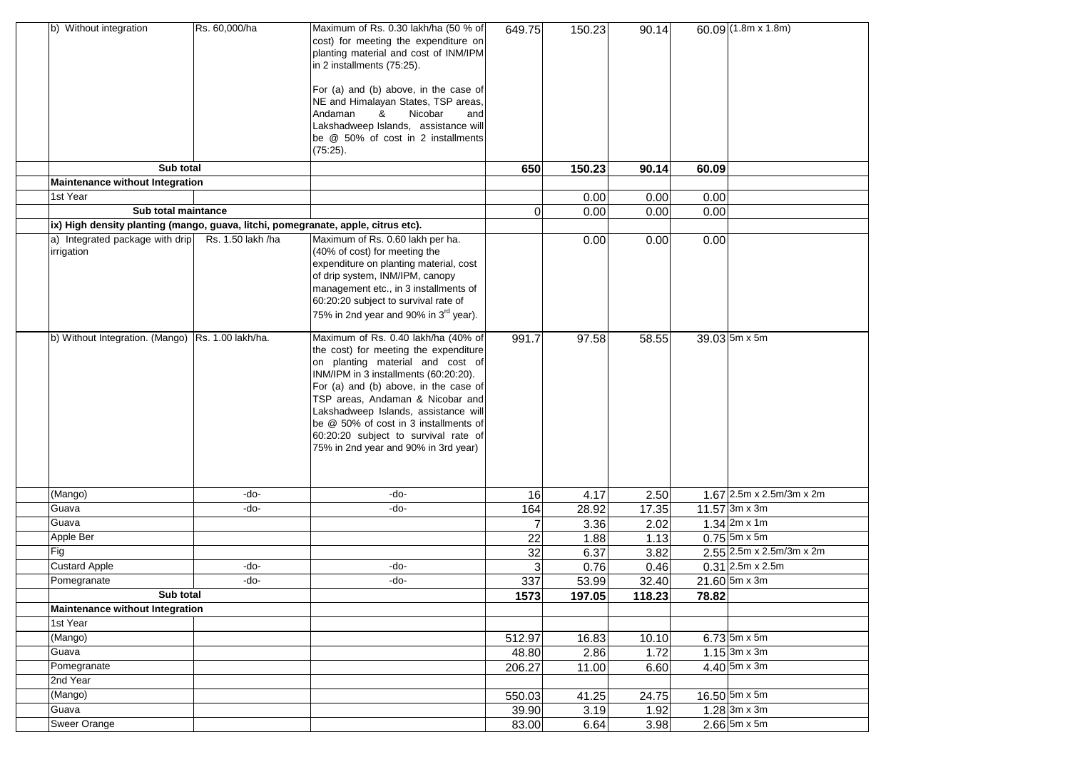| b) Without integration                                                            | Rs. 60,000/ha     | Maximum of Rs. 0.30 lakh/ha (50 % of<br>cost) for meeting the expenditure on<br>planting material and cost of INM/IPM<br>in 2 installments (75:25).<br>For (a) and (b) above, in the case of<br>NE and Himalayan States, TSP areas,<br>Andaman<br>Nicobar<br>&<br>and<br>Lakshadweep Islands, assistance will<br>be @ 50% of cost in 2 installments<br>$(75:25)$ .                                      | 649.75          | 150.23        | 90.14         |       | 60.09 $(1.8m \times 1.8m)$             |
|-----------------------------------------------------------------------------------|-------------------|---------------------------------------------------------------------------------------------------------------------------------------------------------------------------------------------------------------------------------------------------------------------------------------------------------------------------------------------------------------------------------------------------------|-----------------|---------------|---------------|-------|----------------------------------------|
| Sub total                                                                         |                   |                                                                                                                                                                                                                                                                                                                                                                                                         | 650             | 150.23        | 90.14         | 60.09 |                                        |
| <b>Maintenance without Integration</b>                                            |                   |                                                                                                                                                                                                                                                                                                                                                                                                         |                 |               |               |       |                                        |
| 1st Year                                                                          |                   |                                                                                                                                                                                                                                                                                                                                                                                                         |                 | 0.00          | 0.00          | 0.00  |                                        |
| Sub total maintance                                                               |                   |                                                                                                                                                                                                                                                                                                                                                                                                         | 0               | 0.00          | 0.00          | 0.00  |                                        |
| ix) High density planting (mango, guava, litchi, pomegranate, apple, citrus etc). |                   |                                                                                                                                                                                                                                                                                                                                                                                                         |                 |               |               |       |                                        |
| a) Integrated package with drip<br>irrigation                                     | Rs. 1.50 lakh /ha | Maximum of Rs. 0.60 lakh per ha.<br>(40% of cost) for meeting the<br>expenditure on planting material, cost<br>of drip system, INM/IPM, canopy<br>management etc., in 3 installments of<br>60:20:20 subject to survival rate of<br>75% in 2nd year and 90% in 3 <sup>rd</sup> year).                                                                                                                    |                 | 0.00          | 0.00          | 0.00  |                                        |
| b) Without Integration. (Mango) Rs. 1.00 lakh/ha.                                 |                   | Maximum of Rs. 0.40 lakh/ha (40% of<br>the cost) for meeting the expenditure<br>on planting material and cost of<br>INM/IPM in 3 installments (60:20:20).<br>For (a) and (b) above, in the case of<br>TSP areas, Andaman & Nicobar and<br>Lakshadweep Islands, assistance will<br>be @ 50% of cost in 3 installments of<br>60:20:20 subject to survival rate of<br>75% in 2nd year and 90% in 3rd year) | 991.7           | 97.58         | 58.55         |       | 39.03 5m x 5m                          |
| $\overline{\text{(Mango)}}$                                                       | -do-              | -do-                                                                                                                                                                                                                                                                                                                                                                                                    | 16              | 4.17          | 2.50          |       | $1.67$ 2.5m x 2.5m/3m x 2m             |
| Guava                                                                             | -do-              | -do-                                                                                                                                                                                                                                                                                                                                                                                                    | 164             | 28.92         | 17.35         |       | 11.57 3m x 3m                          |
| Guava                                                                             |                   |                                                                                                                                                                                                                                                                                                                                                                                                         |                 | 3.36          | 2.02          |       | $1.34$ 2m x 1m                         |
| Apple Ber                                                                         |                   |                                                                                                                                                                                                                                                                                                                                                                                                         | 22              | 1.88          | 1.13          |       | $0.75$ 5m x 5m                         |
| Fig                                                                               |                   |                                                                                                                                                                                                                                                                                                                                                                                                         | 32              | 6.37          | 3.82          |       | $2.55$ $2.5m \times 2.5m/3m \times 2m$ |
| <b>Custard Apple</b>                                                              | -do-              | -do-                                                                                                                                                                                                                                                                                                                                                                                                    |                 | 0.76          | 0.46          |       | $0.31$ 2.5m x 2.5m                     |
| Pomegranate                                                                       | -do-              | -do-                                                                                                                                                                                                                                                                                                                                                                                                    | 337             | 53.99         | 32.40         |       | $21.60$ 5m x 3m                        |
| Sub total                                                                         |                   |                                                                                                                                                                                                                                                                                                                                                                                                         | 1573            | 197.05        | 118.23        | 78.82 |                                        |
| <b>Maintenance without Integration</b><br>1st Year                                |                   |                                                                                                                                                                                                                                                                                                                                                                                                         |                 |               |               |       |                                        |
| $\overline{\text{(Mango)}}$                                                       |                   |                                                                                                                                                                                                                                                                                                                                                                                                         |                 |               |               |       | $6.73$ 5m x 5m                         |
| Guava                                                                             |                   |                                                                                                                                                                                                                                                                                                                                                                                                         | 512.97<br>48.80 | 16.83<br>2.86 | 10.10<br>1.72 |       | $1.15$ 3m x 3m                         |
| Pomegranate                                                                       |                   |                                                                                                                                                                                                                                                                                                                                                                                                         | 206.27          | 11.00         | 6.60          |       | $4.40$ 5m x 3m                         |
| 2nd Year                                                                          |                   |                                                                                                                                                                                                                                                                                                                                                                                                         |                 |               |               |       |                                        |
| (Mango)                                                                           |                   |                                                                                                                                                                                                                                                                                                                                                                                                         | 550.03          | 41.25         | 24.75         |       | $16.50$ 5m x 5m                        |
| Guava                                                                             |                   |                                                                                                                                                                                                                                                                                                                                                                                                         | 39.90           | 3.19          | 1.92          |       | $1.28$ 3m x 3m                         |
| <b>Sweer Orange</b>                                                               |                   |                                                                                                                                                                                                                                                                                                                                                                                                         | 83.00           | 6.64          | 3.98          |       | $2.66$ 5m x 5m                         |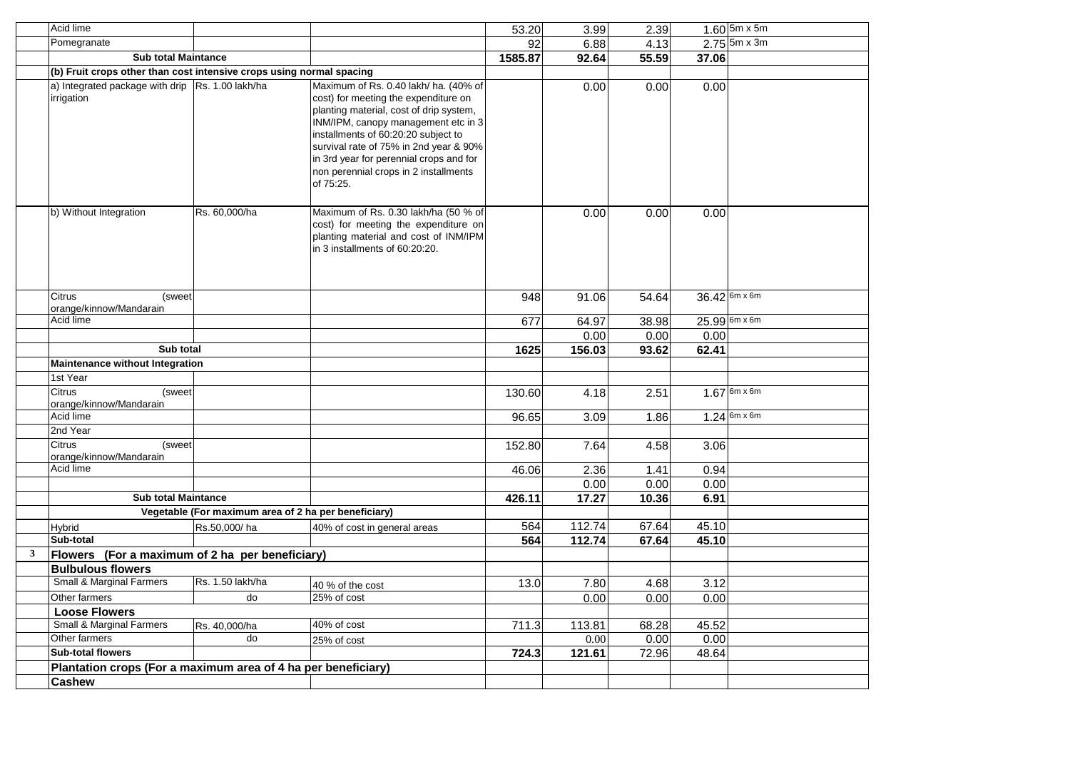|   | Acid lime                                                            |                                                      |                                                                                                                                                                                                                                                                                                                                                   | 53.20   | 3.99   | 2.39  |       | $1.60$ 5m x 5m                  |
|---|----------------------------------------------------------------------|------------------------------------------------------|---------------------------------------------------------------------------------------------------------------------------------------------------------------------------------------------------------------------------------------------------------------------------------------------------------------------------------------------------|---------|--------|-------|-------|---------------------------------|
|   | Pomegranate                                                          |                                                      |                                                                                                                                                                                                                                                                                                                                                   | 92      | 6.88   | 4.13  |       | $2.75$ 5m x 3m                  |
|   | <b>Sub total Maintance</b>                                           |                                                      |                                                                                                                                                                                                                                                                                                                                                   | 1585.87 | 92.64  | 55.59 | 37.06 |                                 |
|   | (b) Fruit crops other than cost intensive crops using normal spacing |                                                      |                                                                                                                                                                                                                                                                                                                                                   |         |        |       |       |                                 |
|   | a) Integrated package with drip Rs. 1.00 lakh/ha<br>irrigation       |                                                      | Maximum of Rs. 0.40 lakh/ ha. (40% of<br>cost) for meeting the expenditure on<br>planting material, cost of drip system,<br>INM/IPM, canopy management etc in 3<br>installments of 60:20:20 subject to<br>survival rate of 75% in 2nd year & 90%<br>in 3rd year for perennial crops and for<br>non perennial crops in 2 installments<br>of 75:25. |         | 0.00   | 0.00  | 0.00  |                                 |
|   | b) Without Integration                                               | Rs. 60,000/ha                                        | Maximum of Rs. 0.30 lakh/ha (50 % of<br>cost) for meeting the expenditure on<br>planting material and cost of INM/IPM<br>lin 3 installments of 60:20:20.                                                                                                                                                                                          |         | 0.00   | 0.00  | 0.00  |                                 |
|   | Citrus<br>(sweet<br>orange/kinnow/Mandarain                          |                                                      |                                                                                                                                                                                                                                                                                                                                                   | 948     | 91.06  | 54.64 |       | $36.42^{6m \times 6m}$          |
|   | Acid lime                                                            |                                                      |                                                                                                                                                                                                                                                                                                                                                   | 677     | 64.97  | 38.98 |       | 25.99 6m x 6m                   |
|   |                                                                      |                                                      |                                                                                                                                                                                                                                                                                                                                                   |         | 0.00   | 0.00  | 0.00  |                                 |
|   | Sub total                                                            |                                                      |                                                                                                                                                                                                                                                                                                                                                   | 1625    | 156.03 | 93.62 | 62.41 |                                 |
|   | Maintenance without Integration                                      |                                                      |                                                                                                                                                                                                                                                                                                                                                   |         |        |       |       |                                 |
|   | 1st Year                                                             |                                                      |                                                                                                                                                                                                                                                                                                                                                   |         |        |       |       |                                 |
|   | Citrus<br>(sweet<br>orange/kinnow/Mandarain                          |                                                      |                                                                                                                                                                                                                                                                                                                                                   | 130.60  | 4.18   | 2.51  |       | $1.67^{6m \times 6m}$           |
|   | Acid lime                                                            |                                                      |                                                                                                                                                                                                                                                                                                                                                   | 96.65   | 3.09   | 1.86  |       | $1.24 \, \mathrm{6m \times 6m}$ |
|   | 2nd Year                                                             |                                                      |                                                                                                                                                                                                                                                                                                                                                   |         |        |       |       |                                 |
|   | <b>Citrus</b><br>(sweet<br>orange/kinnow/Mandarain                   |                                                      |                                                                                                                                                                                                                                                                                                                                                   | 152.80  | 7.64   | 4.58  | 3.06  |                                 |
|   | Acid lime                                                            |                                                      |                                                                                                                                                                                                                                                                                                                                                   | 46.06   | 2.36   | 1.41  | 0.94  |                                 |
|   |                                                                      |                                                      |                                                                                                                                                                                                                                                                                                                                                   |         | 0.00   | 0.00  | 0.00  |                                 |
|   | <b>Sub total Maintance</b>                                           |                                                      |                                                                                                                                                                                                                                                                                                                                                   | 426.11  | 17.27  | 10.36 | 6.91  |                                 |
|   |                                                                      | Vegetable (For maximum area of 2 ha per beneficiary) |                                                                                                                                                                                                                                                                                                                                                   |         |        |       |       |                                 |
|   | <b>Hybrid</b>                                                        | Rs.50,000/ha                                         | 40% of cost in general areas                                                                                                                                                                                                                                                                                                                      | 564     | 112.74 | 67.64 | 45.10 |                                 |
|   | Sub-total                                                            |                                                      |                                                                                                                                                                                                                                                                                                                                                   | 564     | 112.74 | 67.64 | 45.10 |                                 |
| 3 | Flowers (For a maximum of 2 ha per beneficiary)                      |                                                      |                                                                                                                                                                                                                                                                                                                                                   |         |        |       |       |                                 |
|   | <b>Bulbulous flowers</b>                                             |                                                      |                                                                                                                                                                                                                                                                                                                                                   |         |        |       |       |                                 |
|   | Small & Marginal Farmers                                             | Rs. 1.50 lakh/ha                                     | 40 % of the cost                                                                                                                                                                                                                                                                                                                                  | 13.0    | 7.80   | 4.68  | 3.12  |                                 |
|   | Other farmers                                                        | do                                                   | 25% of cost                                                                                                                                                                                                                                                                                                                                       |         | 0.00   | 0.00  | 0.00  |                                 |
|   | <b>Loose Flowers</b>                                                 |                                                      |                                                                                                                                                                                                                                                                                                                                                   |         |        |       |       |                                 |
|   | <b>Small &amp; Marginal Farmers</b>                                  | Rs. 40,000/ha                                        | 40% of cost                                                                                                                                                                                                                                                                                                                                       | 711.3   | 113.81 | 68.28 | 45.52 |                                 |
|   | Other farmers                                                        | do                                                   | 25% of cost                                                                                                                                                                                                                                                                                                                                       |         | 0.00   | 0.00  | 0.00  |                                 |
|   | Sub-total flowers                                                    |                                                      |                                                                                                                                                                                                                                                                                                                                                   | 724.3   | 121.61 | 72.96 | 48.64 |                                 |
|   | Plantation crops (For a maximum area of 4 ha per beneficiary)        |                                                      |                                                                                                                                                                                                                                                                                                                                                   |         |        |       |       |                                 |
|   | <b>Cashew</b>                                                        |                                                      |                                                                                                                                                                                                                                                                                                                                                   |         |        |       |       |                                 |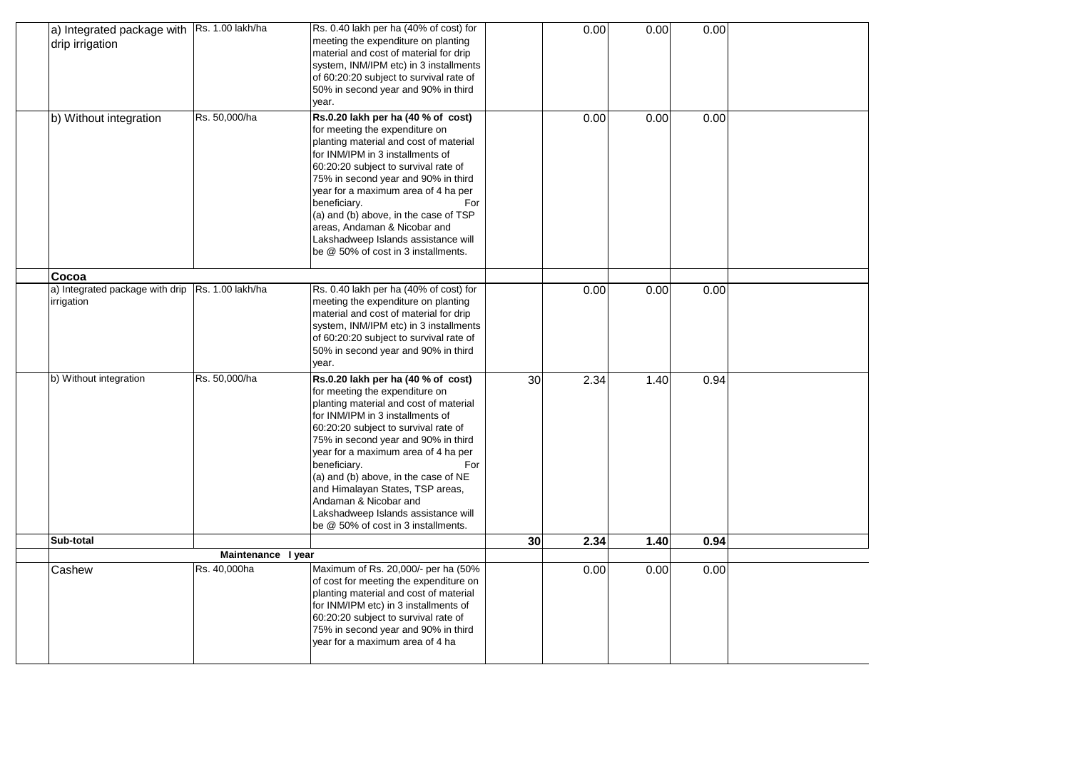| a) Integrated package with Rs. 1.00 lakh/ha<br>Rs. 0.40 lakh per ha (40% of cost) for<br>0.00<br>0.00<br>0.00<br>meeting the expenditure on planting<br>drip irrigation<br>material and cost of material for drip<br>system, INM/IPM etc) in 3 installments<br>of 60:20:20 subject to survival rate of<br>50% in second year and 90% in third<br>year.<br>Rs. 50,000/ha<br>Rs.0.20 lakh per ha (40 % of cost)<br>b) Without integration<br>0.00<br>0.00<br>0.00<br>for meeting the expenditure on<br>planting material and cost of material<br>for INM/IPM in 3 installments of<br>60:20:20 subject to survival rate of<br>75% in second year and 90% in third<br>year for a maximum area of 4 ha per<br>beneficiary.<br>For<br>(a) and (b) above, in the case of TSP<br>areas, Andaman & Nicobar and<br>Lakshadweep Islands assistance will<br>be @ 50% of cost in 3 installments.<br>Cocoa<br>Rs. 1.00 lakh/ha<br>a) Integrated package with drip<br>Rs. 0.40 lakh per ha (40% of cost) for<br>0.00<br>0.00<br>0.00<br>meeting the expenditure on planting<br>irrigation<br>material and cost of material for drip<br>system, INM/IPM etc) in 3 installments<br>of 60:20:20 subject to survival rate of<br>50% in second year and 90% in third<br>year.<br>Rs. 50,000/ha<br>b) Without integration<br>Rs.0.20 lakh per ha (40 % of cost)<br>30<br>2.34<br>1.40<br>0.94<br>for meeting the expenditure on<br>planting material and cost of material<br>for INM/IPM in 3 installments of<br>60:20:20 subject to survival rate of<br>75% in second year and 90% in third<br>year for a maximum area of 4 ha per<br>beneficiary.<br>For<br>(a) and (b) above, in the case of NE<br>and Himalayan States, TSP areas,<br>Andaman & Nicobar and<br>Lakshadweep Islands assistance will<br>be @ 50% of cost in 3 installments.<br>Sub-total<br>2.34<br>30<br>1.40<br>0.94<br>Maintenance I year<br>Maximum of Rs. 20,000/- per ha (50%<br>Rs. 40,000ha<br>0.00<br>Cashew<br>0.00<br>0.00<br>of cost for meeting the expenditure on<br>planting material and cost of material<br>for INM/IPM etc) in 3 installments of<br>60:20:20 subject to survival rate of<br>75% in second year and 90% in third<br>year for a maximum area of 4 ha |  |  |  |  |  |
|-----------------------------------------------------------------------------------------------------------------------------------------------------------------------------------------------------------------------------------------------------------------------------------------------------------------------------------------------------------------------------------------------------------------------------------------------------------------------------------------------------------------------------------------------------------------------------------------------------------------------------------------------------------------------------------------------------------------------------------------------------------------------------------------------------------------------------------------------------------------------------------------------------------------------------------------------------------------------------------------------------------------------------------------------------------------------------------------------------------------------------------------------------------------------------------------------------------------------------------------------------------------------------------------------------------------------------------------------------------------------------------------------------------------------------------------------------------------------------------------------------------------------------------------------------------------------------------------------------------------------------------------------------------------------------------------------------------------------------------------------------------------------------------------------------------------------------------------------------------------------------------------------------------------------------------------------------------------------------------------------------------------------------------------------------------------------------------------------------------------------------------------------------------------------------------------------------------------------------------|--|--|--|--|--|
|                                                                                                                                                                                                                                                                                                                                                                                                                                                                                                                                                                                                                                                                                                                                                                                                                                                                                                                                                                                                                                                                                                                                                                                                                                                                                                                                                                                                                                                                                                                                                                                                                                                                                                                                                                                                                                                                                                                                                                                                                                                                                                                                                                                                                                   |  |  |  |  |  |
|                                                                                                                                                                                                                                                                                                                                                                                                                                                                                                                                                                                                                                                                                                                                                                                                                                                                                                                                                                                                                                                                                                                                                                                                                                                                                                                                                                                                                                                                                                                                                                                                                                                                                                                                                                                                                                                                                                                                                                                                                                                                                                                                                                                                                                   |  |  |  |  |  |
|                                                                                                                                                                                                                                                                                                                                                                                                                                                                                                                                                                                                                                                                                                                                                                                                                                                                                                                                                                                                                                                                                                                                                                                                                                                                                                                                                                                                                                                                                                                                                                                                                                                                                                                                                                                                                                                                                                                                                                                                                                                                                                                                                                                                                                   |  |  |  |  |  |
|                                                                                                                                                                                                                                                                                                                                                                                                                                                                                                                                                                                                                                                                                                                                                                                                                                                                                                                                                                                                                                                                                                                                                                                                                                                                                                                                                                                                                                                                                                                                                                                                                                                                                                                                                                                                                                                                                                                                                                                                                                                                                                                                                                                                                                   |  |  |  |  |  |
|                                                                                                                                                                                                                                                                                                                                                                                                                                                                                                                                                                                                                                                                                                                                                                                                                                                                                                                                                                                                                                                                                                                                                                                                                                                                                                                                                                                                                                                                                                                                                                                                                                                                                                                                                                                                                                                                                                                                                                                                                                                                                                                                                                                                                                   |  |  |  |  |  |
|                                                                                                                                                                                                                                                                                                                                                                                                                                                                                                                                                                                                                                                                                                                                                                                                                                                                                                                                                                                                                                                                                                                                                                                                                                                                                                                                                                                                                                                                                                                                                                                                                                                                                                                                                                                                                                                                                                                                                                                                                                                                                                                                                                                                                                   |  |  |  |  |  |
|                                                                                                                                                                                                                                                                                                                                                                                                                                                                                                                                                                                                                                                                                                                                                                                                                                                                                                                                                                                                                                                                                                                                                                                                                                                                                                                                                                                                                                                                                                                                                                                                                                                                                                                                                                                                                                                                                                                                                                                                                                                                                                                                                                                                                                   |  |  |  |  |  |
|                                                                                                                                                                                                                                                                                                                                                                                                                                                                                                                                                                                                                                                                                                                                                                                                                                                                                                                                                                                                                                                                                                                                                                                                                                                                                                                                                                                                                                                                                                                                                                                                                                                                                                                                                                                                                                                                                                                                                                                                                                                                                                                                                                                                                                   |  |  |  |  |  |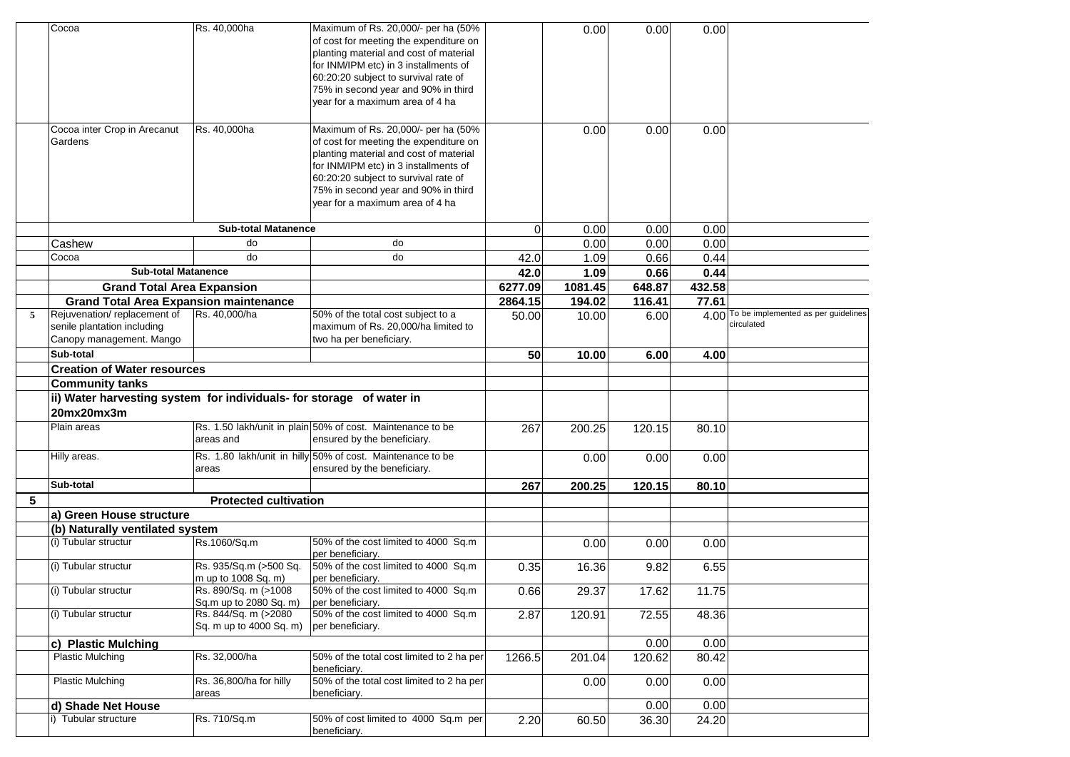|   | Cocoa                                                                                  | Rs. 40,000ha                                                           | Maximum of Rs. 20,000/- per ha (50%<br>of cost for meeting the expenditure on<br>planting material and cost of material<br>for INM/IPM etc) in 3 installments of<br>60:20:20 subject to survival rate of<br>75% in second year and 90% in third<br>year for a maximum area of 4 ha |                | 0.00    | 0.00               | 0.00         |                                                        |
|---|----------------------------------------------------------------------------------------|------------------------------------------------------------------------|------------------------------------------------------------------------------------------------------------------------------------------------------------------------------------------------------------------------------------------------------------------------------------|----------------|---------|--------------------|--------------|--------------------------------------------------------|
|   | Cocoa inter Crop in Arecanut<br>Gardens                                                | Rs. 40,000ha                                                           | Maximum of Rs. 20,000/- per ha (50%<br>of cost for meeting the expenditure on<br>planting material and cost of material<br>for INM/IPM etc) in 3 installments of<br>60:20:20 subject to survival rate of<br>75% in second year and 90% in third<br>year for a maximum area of 4 ha |                | 0.00    | 0.00               | 0.00         |                                                        |
|   |                                                                                        | <b>Sub-total Matanence</b>                                             |                                                                                                                                                                                                                                                                                    | $\overline{0}$ | 0.00    | 0.00               | 0.00         |                                                        |
|   | Cashew                                                                                 | do                                                                     | do                                                                                                                                                                                                                                                                                 |                | 0.00    | 0.00               | 0.00         |                                                        |
|   | Cocoa                                                                                  | do                                                                     | do                                                                                                                                                                                                                                                                                 | 42.0           | 1.09    | 0.66               | 0.44         |                                                        |
|   | <b>Sub-total Matanence</b>                                                             |                                                                        |                                                                                                                                                                                                                                                                                    | 42.0           | 1.09    | 0.66               | 0.44         |                                                        |
|   | <b>Grand Total Area Expansion</b>                                                      |                                                                        |                                                                                                                                                                                                                                                                                    | 6277.09        | 1081.45 | 648.87             | 432.58       |                                                        |
|   | <b>Grand Total Area Expansion maintenance</b>                                          |                                                                        |                                                                                                                                                                                                                                                                                    | 2864.15        | 194.02  | 116.41             | 77.61        |                                                        |
| 5 | Rejuvenation/replacement of<br>senile plantation including<br>Canopy management. Mango | Rs. 40,000/ha                                                          | 50% of the total cost subject to a<br>maximum of Rs. 20,000/ha limited to<br>two ha per beneficiary.                                                                                                                                                                               | 50.00          | 10.00   | 6.00               |              | 4.00 To be implemented as per guidelines<br>circulated |
|   | Sub-total                                                                              |                                                                        |                                                                                                                                                                                                                                                                                    | 50             | 10.00   | 6.00               | 4.00         |                                                        |
|   | <b>Creation of Water resources</b>                                                     |                                                                        |                                                                                                                                                                                                                                                                                    |                |         |                    |              |                                                        |
|   | <b>Community tanks</b>                                                                 |                                                                        |                                                                                                                                                                                                                                                                                    |                |         |                    |              |                                                        |
|   | ii) Water harvesting system for individuals- for storage of water in<br>20mx20mx3m     |                                                                        |                                                                                                                                                                                                                                                                                    |                |         |                    |              |                                                        |
|   | Plain areas                                                                            | areas and                                                              | Rs. 1.50 lakh/unit in plain 50% of cost. Maintenance to be<br>ensured by the beneficiary.                                                                                                                                                                                          | 267            | 200.25  | 120.15             | 80.10        |                                                        |
|   | Hilly areas.                                                                           | areas                                                                  | Rs. 1.80 lakh/unit in hilly 50% of cost. Maintenance to be<br>ensured by the beneficiary.                                                                                                                                                                                          |                | 0.00    | 0.00               | 0.00         |                                                        |
|   | Sub-total                                                                              |                                                                        |                                                                                                                                                                                                                                                                                    | 267            | 200.25  | 120.15             | 80.10        |                                                        |
| 5 |                                                                                        | <b>Protected cultivation</b>                                           |                                                                                                                                                                                                                                                                                    |                |         |                    |              |                                                        |
|   | a) Green House structure                                                               |                                                                        |                                                                                                                                                                                                                                                                                    |                |         |                    |              |                                                        |
|   | (b) Naturally ventilated system                                                        |                                                                        |                                                                                                                                                                                                                                                                                    |                |         |                    |              |                                                        |
|   | (i) Tubular structur                                                                   | Rs.1060/Sq.m                                                           | 50% of the cost limited to 4000 Sq.m<br>per beneficiary.                                                                                                                                                                                                                           |                | 0.00    | 0.00               | 0.00         |                                                        |
|   | (i) Tubular structur                                                                   | Rs. 935/Sq.m (>500 Sq.<br>m up to 1008 Sq. m)                          | 50% of the cost limited to 4000 Sq.m<br>per beneficiary.                                                                                                                                                                                                                           | 0.35           | 16.36   | 9.82               | 6.55         |                                                        |
|   | (i) Tubular structur<br>(i) Tubular structur                                           | Rs. 890/Sq. m (>1008<br>Sq.m up to 2080 Sq. m)<br>Rs. 844/Sq. m (>2080 | 50% of the cost limited to 4000 Sq.m<br>per beneficiary.<br>50% of the cost limited to 4000 Sq.m                                                                                                                                                                                   | 0.66           | 29.37   | 17.62              | 11.75        |                                                        |
|   |                                                                                        | Sq. m up to 4000 Sq. m)                                                | per beneficiary.                                                                                                                                                                                                                                                                   | 2.87           | 120.91  | $\overline{72.55}$ | 48.36        |                                                        |
|   | c) Plastic Mulching                                                                    |                                                                        |                                                                                                                                                                                                                                                                                    |                |         | 0.00               | 0.00         |                                                        |
|   | <b>Plastic Mulching</b>                                                                | Rs. 32,000/ha                                                          | 50% of the total cost limited to 2 ha per<br>beneficiary.                                                                                                                                                                                                                          | 1266.5         | 201.04  | 120.62             | 80.42        |                                                        |
|   | <b>Plastic Mulching</b><br>d) Shade Net House                                          | Rs. 36,800/ha for hilly<br>areas                                       | 50% of the total cost limited to 2 ha per<br>beneficiary.                                                                                                                                                                                                                          |                | 0.00    | 0.00               | 0.00<br>0.00 |                                                        |
|   | i) Tubular structure                                                                   | Rs. 710/Sq.m                                                           | 50% of cost limited to 4000 Sq.m per                                                                                                                                                                                                                                               |                |         | 0.00               |              |                                                        |
|   |                                                                                        |                                                                        | beneficiary.                                                                                                                                                                                                                                                                       | 2.20           | 60.50   | 36.30              | 24.20        |                                                        |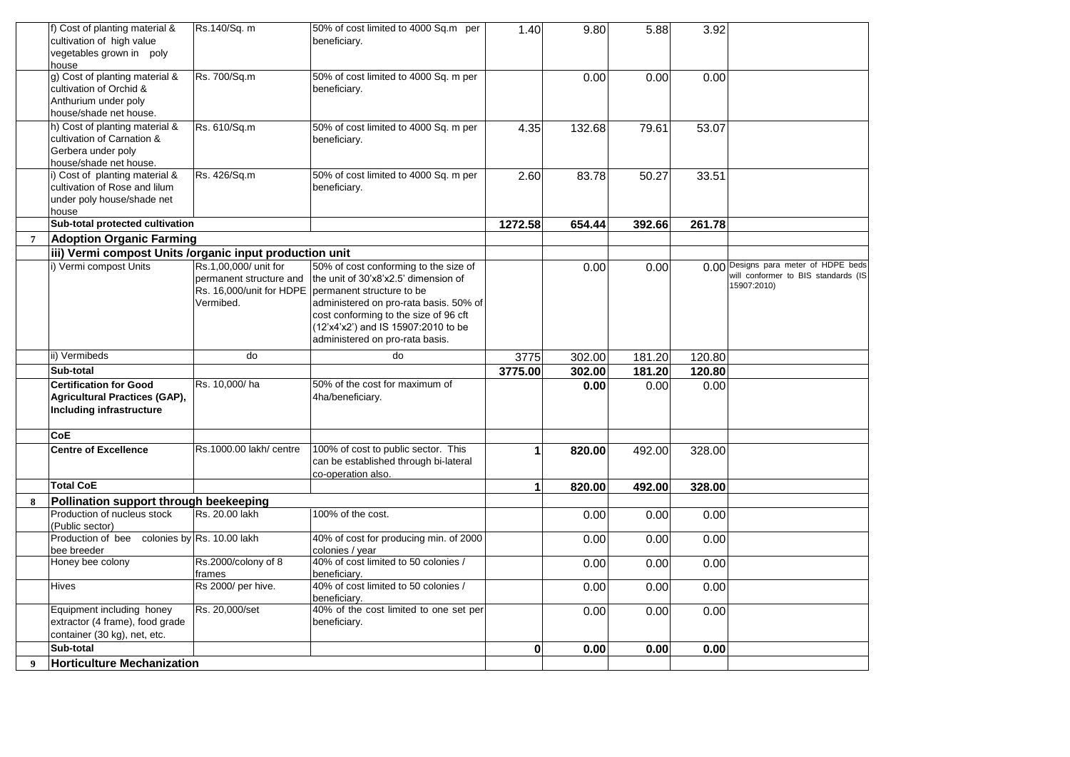|                | f) Cost of planting material &<br>cultivation of high value     | Rs.140/Sq. m            | 50% of cost limited to 4000 Sq.m per<br>beneficiary.      | 1.40    | 9.80   | 5.88   | 3.92   |                                      |
|----------------|-----------------------------------------------------------------|-------------------------|-----------------------------------------------------------|---------|--------|--------|--------|--------------------------------------|
|                | vegetables grown in poly                                        |                         |                                                           |         |        |        |        |                                      |
|                | house<br>g) Cost of planting material &                         | Rs. 700/Sq.m            | 50% of cost limited to 4000 Sq. m per                     |         | 0.00   | 0.00   | 0.00   |                                      |
|                | cultivation of Orchid &                                         |                         | beneficiary.                                              |         |        |        |        |                                      |
|                | Anthurium under poly                                            |                         |                                                           |         |        |        |        |                                      |
|                | house/shade net house.                                          |                         |                                                           |         |        |        |        |                                      |
|                | h) Cost of planting material &                                  | Rs. 610/Sq.m            | 50% of cost limited to 4000 Sq. m per                     | 4.35    | 132.68 | 79.61  | 53.07  |                                      |
|                | cultivation of Carnation &                                      |                         | beneficiary.                                              |         |        |        |        |                                      |
|                | Gerbera under poly                                              |                         |                                                           |         |        |        |        |                                      |
|                | house/shade net house.                                          |                         |                                                           |         |        |        |        |                                      |
|                | i) Cost of planting material &<br>cultivation of Rose and lilum | Rs. 426/Sq.m            | 50% of cost limited to 4000 Sq. m per<br>beneficiary.     | 2.60    | 83.78  | 50.27  | 33.51  |                                      |
|                | under poly house/shade net                                      |                         |                                                           |         |        |        |        |                                      |
|                | house                                                           |                         |                                                           |         |        |        |        |                                      |
|                | Sub-total protected cultivation                                 |                         |                                                           | 1272.58 | 654.44 | 392.66 | 261.78 |                                      |
| $\overline{7}$ | Adoption Organic Farming                                        |                         |                                                           |         |        |        |        |                                      |
|                | iii) Vermi compost Units /organic input production unit         |                         |                                                           |         |        |        |        |                                      |
|                | i) Vermi compost Units                                          | Rs.1,00,000/ unit for   | 50% of cost conforming to the size of                     |         | 0.00   | 0.00   |        | 0.00 Designs para meter of HDPE beds |
|                |                                                                 | permanent structure and | the unit of 30'x8'x2.5' dimension of                      |         |        |        |        | will conformer to BIS standards (IS  |
|                |                                                                 |                         | Rs. 16,000/unit for HDPE   permanent structure to be      |         |        |        |        | 15907:2010)                          |
|                |                                                                 | Vermibed.               | administered on pro-rata basis. 50% of                    |         |        |        |        |                                      |
|                |                                                                 |                         | cost conforming to the size of 96 cft                     |         |        |        |        |                                      |
|                |                                                                 |                         | (12'x4'x2') and IS 15907:2010 to be                       |         |        |        |        |                                      |
|                |                                                                 |                         | administered on pro-rata basis.                           |         |        |        |        |                                      |
|                | ii) Vermibeds                                                   | do                      | do                                                        | 3775    | 302.00 | 181.20 | 120.80 |                                      |
|                | Sub-total                                                       |                         |                                                           | 3775.00 | 302.00 | 181.20 | 120.80 |                                      |
|                | <b>Certification for Good</b>                                   | Rs. 10,000/ha           | 50% of the cost for maximum of                            |         | 0.00   | 0.00   | 0.00   |                                      |
|                | Agricultural Practices (GAP),                                   |                         | 4ha/beneficiary.                                          |         |        |        |        |                                      |
|                | Including infrastructure                                        |                         |                                                           |         |        |        |        |                                      |
|                | <b>CoE</b>                                                      |                         |                                                           |         |        |        |        |                                      |
|                | <b>Centre of Excellence</b>                                     | Rs.1000.00 lakh/ centre | 100% of cost to public sector. This                       | 1       | 820.00 | 492.00 | 328.00 |                                      |
|                |                                                                 |                         | can be established through bi-lateral                     |         |        |        |        |                                      |
|                | <b>Total CoE</b>                                                |                         | co-operation also.                                        |         |        |        |        |                                      |
|                |                                                                 |                         |                                                           |         |        |        | 328.00 |                                      |
| 8              |                                                                 |                         |                                                           | 1       | 820.00 | 492.00 |        |                                      |
|                | Pollination support through beekeeping                          |                         |                                                           |         |        |        |        |                                      |
|                | Production of nucleus stock                                     | Rs. 20.00 lakh          | 100% of the cost.                                         |         | 0.00   | 0.00   | 0.00   |                                      |
|                | (Public sector)                                                 |                         |                                                           |         |        |        |        |                                      |
|                | Production of bee colonies by Rs. 10.00 lakh<br>bee breeder     |                         | 40% of cost for producing min. of 2000<br>colonies / year |         | 0.00   | 0.00   | 0.00   |                                      |
|                | Honey bee colony                                                | Rs.2000/colony of 8     | 40% of cost limited to 50 colonies /                      |         | 0.00   | 0.00   | 0.00   |                                      |
|                |                                                                 | frames                  | beneficiary.                                              |         |        |        |        |                                      |
|                | <b>Hives</b>                                                    | Rs 2000/ per hive.      | 40% of cost limited to 50 colonies /<br>beneficiarv.      |         | 0.00   | 0.00   | 0.00   |                                      |
|                | Equipment including honey                                       | Rs. 20,000/set          | 40% of the cost limited to one set per                    |         |        |        |        |                                      |
|                | extractor (4 frame), food grade                                 |                         | beneficiary.                                              |         | 0.00   | 0.00   | 0.00   |                                      |
|                | container (30 kg), net, etc.                                    |                         |                                                           |         |        |        |        |                                      |
|                | Sub-total                                                       |                         |                                                           | 0       | 0.00   | 0.00   | 0.00   |                                      |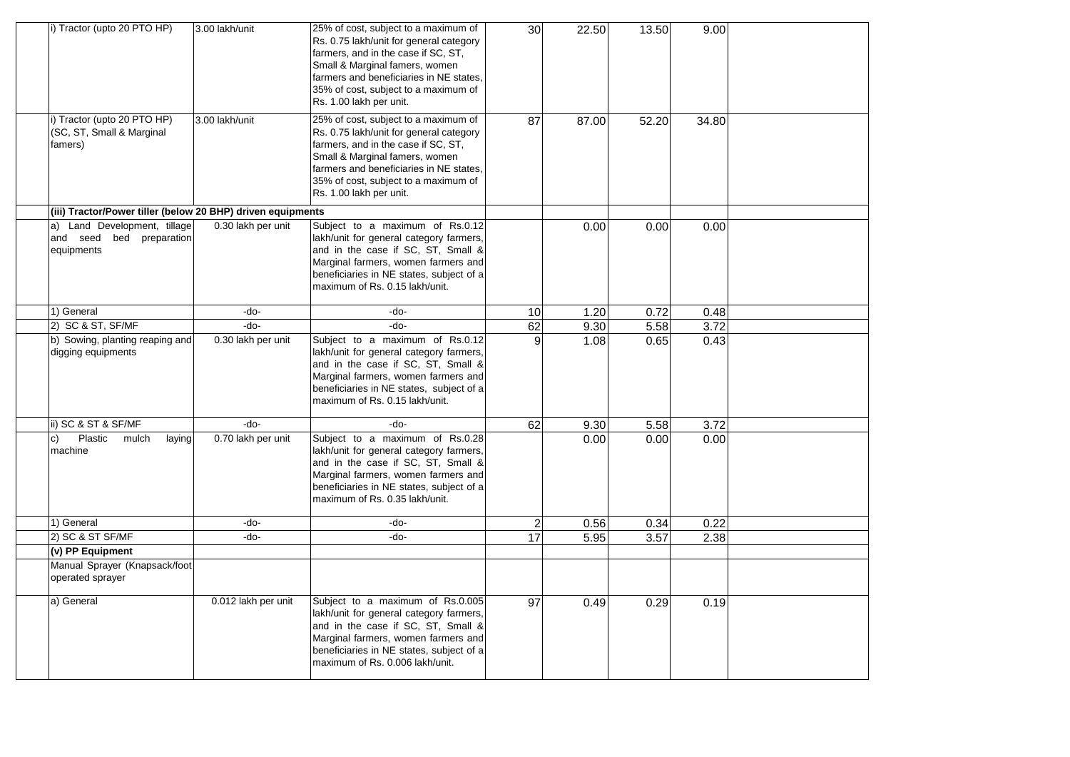| i) Tractor (upto 20 PTO HP)                                                  | 3.00 lakh/unit      | 25% of cost, subject to a maximum of<br>Rs. 0.75 lakh/unit for general category<br>farmers, and in the case if SC, ST,<br>Small & Marginal famers, women<br>farmers and beneficiaries in NE states,<br>35% of cost, subject to a maximum of<br>Rs. 1.00 lakh per unit. | 30 | 22.50 | 13.50 | 9.00  |  |
|------------------------------------------------------------------------------|---------------------|------------------------------------------------------------------------------------------------------------------------------------------------------------------------------------------------------------------------------------------------------------------------|----|-------|-------|-------|--|
| i) Tractor (upto 20 PTO HP)<br>(SC, ST, Small & Marginal<br>famers)          | 3.00 lakh/unit      | 25% of cost, subject to a maximum of<br>Rs. 0.75 lakh/unit for general category<br>farmers, and in the case if SC, ST,<br>Small & Marginal famers, women<br>farmers and beneficiaries in NE states,<br>35% of cost, subject to a maximum of<br>Rs. 1.00 lakh per unit. | 87 | 87.00 | 52.20 | 34.80 |  |
| (iii) Tractor/Power tiller (below 20 BHP) driven equipments                  |                     |                                                                                                                                                                                                                                                                        |    |       |       |       |  |
| Land Development, tillage<br>a)<br>and seed bed<br>preparation<br>equipments | 0.30 lakh per unit  | Subject to a maximum of Rs.0.12<br>lakh/unit for general category farmers,<br>and in the case if SC, ST, Small &<br>Marginal farmers, women farmers and<br>beneficiaries in NE states, subject of a<br>maximum of Rs. 0.15 lakh/unit.                                  |    | 0.00  | 0.00  | 0.00  |  |
| 1) General                                                                   | -do-                | -do-                                                                                                                                                                                                                                                                   | 10 | 1.20  | 0.72  | 0.48  |  |
| 2) SC & ST, SF/MF                                                            | -do-                | -do-                                                                                                                                                                                                                                                                   | 62 | 9.30  | 5.58  | 3.72  |  |
| b) Sowing, planting reaping and<br>digging equipments                        | 0.30 lakh per unit  | Subject to a maximum of Rs.0.12<br>lakh/unit for general category farmers,<br>and in the case if SC, ST, Small &<br>Marginal farmers, women farmers and<br>beneficiaries in NE states, subject of a<br>maximum of Rs. 0.15 lakh/unit.                                  | 9  | 1.08  | 0.65  | 0.43  |  |
| ii) SC & ST & SF/MF                                                          | -do-                | -do-                                                                                                                                                                                                                                                                   | 62 | 9.30  | 5.58  | 3.72  |  |
| Plastic<br>mulch<br>laying<br>c)<br>machine                                  | 0.70 lakh per unit  | Subject to a maximum of Rs.0.28<br>lakh/unit for general category farmers,<br>and in the case if SC, ST, Small &<br>Marginal farmers, women farmers and<br>beneficiaries in NE states, subject of a<br>maximum of Rs. 0.35 lakh/unit.                                  |    | 0.00  | 0.00  | 0.00  |  |
| 1) General                                                                   | -do-                | -do-                                                                                                                                                                                                                                                                   | 2  | 0.56  | 0.34  | 0.22  |  |
| 2) SC & ST SF/MF                                                             | -do-                | -do-                                                                                                                                                                                                                                                                   | 17 | 5.95  | 3.57  | 2.38  |  |
| (v) PP Equipment                                                             |                     |                                                                                                                                                                                                                                                                        |    |       |       |       |  |
| Manual Sprayer (Knapsack/foot<br>operated sprayer                            |                     |                                                                                                                                                                                                                                                                        |    |       |       |       |  |
| a) General                                                                   | 0.012 lakh per unit | Subject to a maximum of Rs.0.005<br>lakh/unit for general category farmers,<br>and in the case if SC, ST, Small &<br>Marginal farmers, women farmers and<br>beneficiaries in NE states, subject of a<br>maximum of Rs. 0.006 lakh/unit.                                | 97 | 0.49  | 0.29  | 0.19  |  |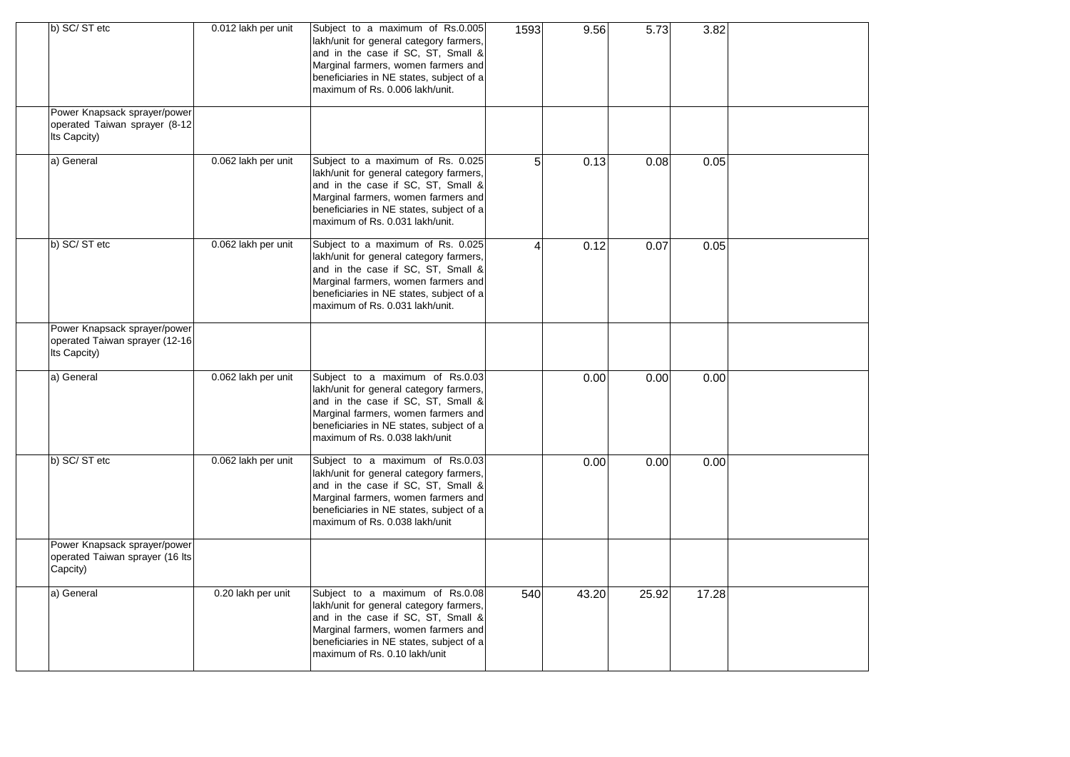| b) SC/ST etc                                                                   | 0.012 lakh per unit | Subject to a maximum of Rs.0.005<br>lakh/unit for general category farmers,<br>and in the case if SC, ST, Small &<br>Marginal farmers, women farmers and<br>beneficiaries in NE states, subject of a<br>maximum of Rs. 0.006 lakh/unit.  | 1593           | 9.56  | 5.73  | 3.82  |  |
|--------------------------------------------------------------------------------|---------------------|------------------------------------------------------------------------------------------------------------------------------------------------------------------------------------------------------------------------------------------|----------------|-------|-------|-------|--|
| Power Knapsack sprayer/power<br>operated Taiwan sprayer (8-12<br>Its Capcity)  |                     |                                                                                                                                                                                                                                          |                |       |       |       |  |
| a) General                                                                     | 0.062 lakh per unit | Subject to a maximum of Rs. 0.025<br>lakh/unit for general category farmers,<br>and in the case if SC, ST, Small &<br>Marginal farmers, women farmers and<br>beneficiaries in NE states, subject of a<br>maximum of Rs. 0.031 lakh/unit. | 5 <sup>1</sup> | 0.13  | 0.08  | 0.05  |  |
| b) SC/ST etc                                                                   | 0.062 lakh per unit | Subject to a maximum of Rs. 0.025<br>lakh/unit for general category farmers,<br>and in the case if SC, ST, Small &<br>Marginal farmers, women farmers and<br>beneficiaries in NE states, subject of a<br>maximum of Rs. 0.031 lakh/unit. | $\overline{4}$ | 0.12  | 0.07  | 0.05  |  |
| Power Knapsack sprayer/power<br>operated Taiwan sprayer (12-16<br>Its Capcity) |                     |                                                                                                                                                                                                                                          |                |       |       |       |  |
| a) General                                                                     | 0.062 lakh per unit | Subject to a maximum of Rs.0.03<br>lakh/unit for general category farmers,<br>and in the case if SC, ST, Small &<br>Marginal farmers, women farmers and<br>beneficiaries in NE states, subject of a<br>maximum of Rs. 0.038 lakh/unit    |                | 0.00  | 0.00  | 0.00  |  |
| b) SC/ST etc                                                                   | 0.062 lakh per unit | Subject to a maximum of Rs.0.03<br>lakh/unit for general category farmers,<br>and in the case if SC, ST, Small &<br>Marginal farmers, women farmers and<br>beneficiaries in NE states, subject of a<br>maximum of Rs. 0.038 lakh/unit    |                | 0.00  | 0.00  | 0.00  |  |
| Power Knapsack sprayer/power<br>operated Taiwan sprayer (16 lts<br>Capcity)    |                     |                                                                                                                                                                                                                                          |                |       |       |       |  |
| a) General                                                                     | 0.20 lakh per unit  | Subject to a maximum of Rs.0.08<br>lakh/unit for general category farmers,<br>and in the case if SC, ST, Small &<br>Marginal farmers, women farmers and<br>beneficiaries in NE states, subject of a<br>maximum of Rs. 0.10 lakh/unit     | 540            | 43.20 | 25.92 | 17.28 |  |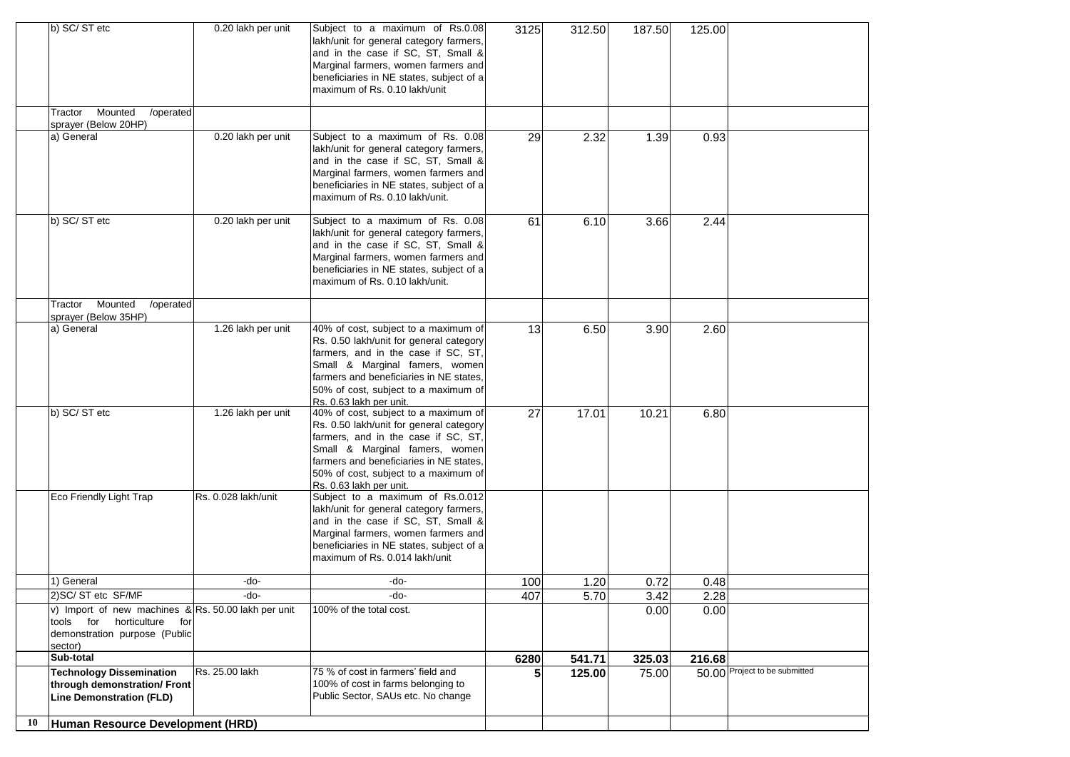|    | b) SC/ST etc                                                                                                                     | 0.20 lakh per unit  | Subject to a maximum of Rs.0.08<br>lakh/unit for general category farmers,<br>and in the case if SC, ST, Small &<br>Marginal farmers, women farmers and<br>beneficiaries in NE states, subject of a<br>maximum of Rs. 0.10 lakh/unit                                   | 3125 | 312.50 | 187.50 | 125.00 |                               |
|----|----------------------------------------------------------------------------------------------------------------------------------|---------------------|------------------------------------------------------------------------------------------------------------------------------------------------------------------------------------------------------------------------------------------------------------------------|------|--------|--------|--------|-------------------------------|
|    | Mounted<br>Tractor<br>/operated<br>sprayer (Below 20HP)                                                                          |                     |                                                                                                                                                                                                                                                                        |      |        |        |        |                               |
|    | a) General                                                                                                                       | 0.20 lakh per unit  | Subject to a maximum of Rs. 0.08<br>lakh/unit for general category farmers,<br>and in the case if SC, ST, Small &<br>Marginal farmers, women farmers and<br>beneficiaries in NE states, subject of a<br>maximum of Rs. 0.10 lakh/unit.                                 | 29   | 2.32   | 1.39   | 0.93   |                               |
|    | b) SC/ST etc                                                                                                                     | 0.20 lakh per unit  | Subject to a maximum of Rs. 0.08<br>lakh/unit for general category farmers,<br>and in the case if SC, ST, Small &<br>Marginal farmers, women farmers and<br>beneficiaries in NE states, subject of a<br>maximum of Rs. 0.10 lakh/unit.                                 | 61   | 6.10   | 3.66   | 2.44   |                               |
|    | Mounted<br>/operated<br>Tractor<br>sprayer (Below 35HP)                                                                          |                     |                                                                                                                                                                                                                                                                        |      |        |        |        |                               |
|    | a) General                                                                                                                       | 1.26 lakh per unit  | 40% of cost, subject to a maximum of<br>Rs. 0.50 lakh/unit for general category<br>farmers, and in the case if SC, ST,<br>Small & Marginal famers, women<br>farmers and beneficiaries in NE states,<br>50% of cost, subject to a maximum of<br>Rs. 0.63 lakh per unit. | 13   | 6.50   | 3.90   | 2.60   |                               |
|    | b) SC/ST etc                                                                                                                     | 1.26 lakh per unit  | 40% of cost, subject to a maximum of<br>Rs. 0.50 lakh/unit for general category<br>farmers, and in the case if SC, ST,<br>Small & Marginal famers, women<br>farmers and beneficiaries in NE states.<br>50% of cost, subject to a maximum of<br>Rs. 0.63 lakh per unit. | 27   | 17.01  | 10.21  | 6.80   |                               |
|    | Eco Friendly Light Trap                                                                                                          | Rs. 0.028 lakh/unit | Subject to a maximum of Rs.0.012<br>lakh/unit for general category farmers,<br>and in the case if SC, ST, Small &<br>Marginal farmers, women farmers and<br>beneficiaries in NE states, subject of a<br>maximum of Rs. 0.014 lakh/unit                                 |      |        |        |        |                               |
|    | 1) General                                                                                                                       | -do-                | -do-                                                                                                                                                                                                                                                                   | 100  | 1.20   | 0.72   | 0.48   |                               |
|    | 2) SC/ ST etc SF/MF                                                                                                              | -do-                | -do-                                                                                                                                                                                                                                                                   | 407  | 5.70   | 3.42   | 2.28   |                               |
|    | v) Import of new machines $\&$ Rs. 50.00 lakh per unit<br>tools for horticulture for<br>demonstration purpose (Public<br>sector) |                     | 100% of the total cost.                                                                                                                                                                                                                                                |      |        | 0.00   | 0.00   |                               |
|    | Sub-total                                                                                                                        |                     |                                                                                                                                                                                                                                                                        | 6280 | 541.71 | 325.03 | 216.68 |                               |
|    | <b>Technology Dissemination</b><br>through demonstration/ Front<br><b>Line Demonstration (FLD)</b>                               | Rs. 25.00 lakh      | 75 % of cost in farmers' field and<br>100% of cost in farms belonging to<br>Public Sector, SAUs etc. No change                                                                                                                                                         | 5    | 125.00 | 75.00  |        | 50.00 Project to be submitted |
| 10 | Human Resource Development (HRD)                                                                                                 |                     |                                                                                                                                                                                                                                                                        |      |        |        |        |                               |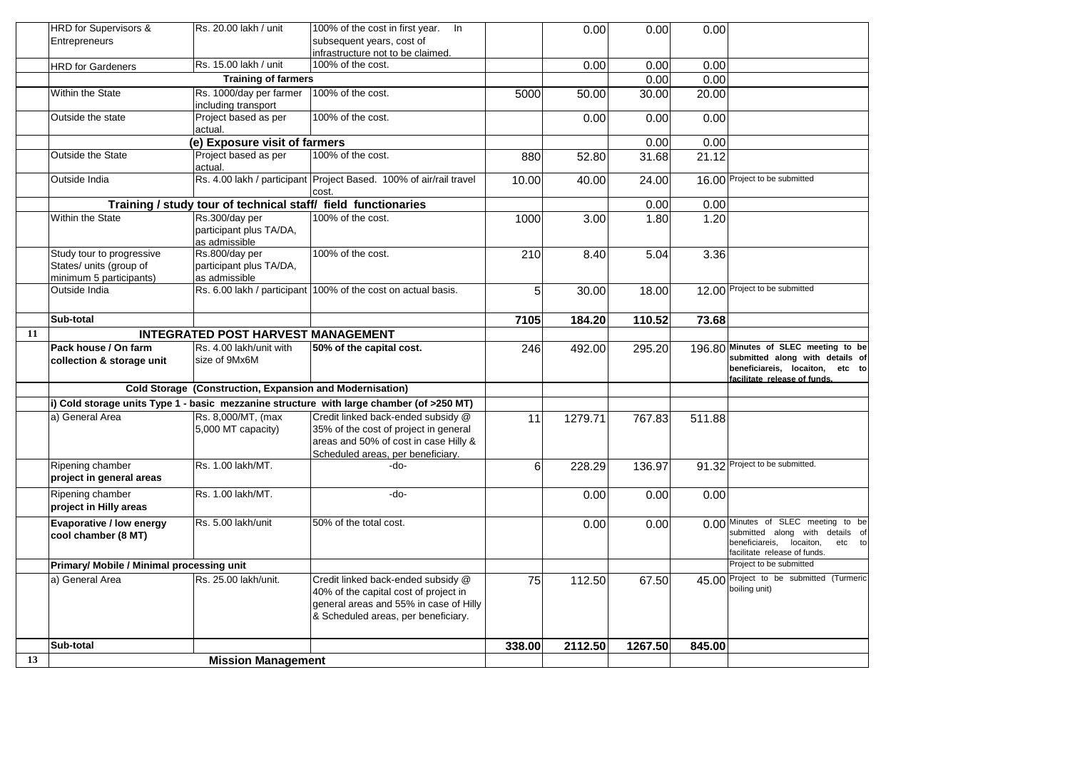|    | HRD for Supervisors &                                                           | Rs. 20.00 lakh / unit                                         | 100% of the cost in first year. In                                                                                                                           |        | 0.00    | 0.00               | 0.00   |                                                                                                                                             |
|----|---------------------------------------------------------------------------------|---------------------------------------------------------------|--------------------------------------------------------------------------------------------------------------------------------------------------------------|--------|---------|--------------------|--------|---------------------------------------------------------------------------------------------------------------------------------------------|
|    | Entrepreneurs                                                                   |                                                               | subsequent years, cost of                                                                                                                                    |        |         |                    |        |                                                                                                                                             |
|    |                                                                                 |                                                               | infrastructure not to be claimed.                                                                                                                            |        |         |                    |        |                                                                                                                                             |
|    | <b>HRD</b> for Gardeners                                                        | Rs. 15.00 lakh / unit                                         | 100% of the cost.                                                                                                                                            |        | 0.00    | 0.00               | 0.00   |                                                                                                                                             |
|    |                                                                                 | <b>Training of farmers</b>                                    |                                                                                                                                                              |        |         | 0.00               | 0.00   |                                                                                                                                             |
|    | Within the State                                                                | Rs. 1000/day per farmer<br>including transport                | 100% of the cost.                                                                                                                                            | 5000   | 50.00   | 30.00              | 20.00  |                                                                                                                                             |
|    | Outside the state                                                               | Project based as per<br>actual.                               | 100% of the cost.                                                                                                                                            |        | 0.00    | 0.00               | 0.00   |                                                                                                                                             |
|    |                                                                                 | (e) Exposure visit of farmers                                 |                                                                                                                                                              |        |         | 0.00               | 0.00   |                                                                                                                                             |
|    | <b>Outside the State</b>                                                        | Project based as per<br>actual.                               | 100% of the cost.                                                                                                                                            | 880    | 52.80   | $31.\overline{68}$ | 21.12  |                                                                                                                                             |
|    | Outside India                                                                   |                                                               | Rs. 4.00 lakh / participant Project Based. 100% of air/rail travel<br>cost.                                                                                  | 10.00  | 40.00   | 24.00              |        | 16.00 Project to be submitted                                                                                                               |
|    |                                                                                 | Training / study tour of technical staff/ field functionaries |                                                                                                                                                              |        |         | 0.00               | 0.00   |                                                                                                                                             |
|    | <b>Within the State</b>                                                         | Rs.300/day per<br>participant plus TA/DA,<br>as admissible    | 100% of the cost.                                                                                                                                            | 1000   | 3.00    | 1.80               | 1.20   |                                                                                                                                             |
|    | Study tour to progressive<br>States/ units (group of<br>minimum 5 participants) | Rs.800/day per<br>participant plus TA/DA,<br>as admissible    | 100% of the cost.                                                                                                                                            | 210    | 8.40    | 5.04               | 3.36   |                                                                                                                                             |
|    | Outside India                                                                   |                                                               | Rs. 6.00 lakh / participant 100% of the cost on actual basis.                                                                                                | 5      | 30.00   | 18.00              |        | 12.00 Project to be submitted                                                                                                               |
|    | Sub-total                                                                       |                                                               |                                                                                                                                                              | 7105   | 184.20  | 110.52             | 73.68  |                                                                                                                                             |
| 11 |                                                                                 | <b>INTEGRATED POST HARVEST MANAGEMENT</b>                     |                                                                                                                                                              |        |         |                    |        |                                                                                                                                             |
|    | <b>Pack house / On farm</b><br>collection & storage unit                        | Rs. 4.00 lakh/unit with<br>size of 9Mx6M                      | 50% of the capital cost.                                                                                                                                     | 246    | 492.00  | 295.20             |        | 196.80 Minutes of SLEC meeting to be<br>submitted along with details of<br>beneficiareis, locaiton, etc to<br>facilitate release of funds.  |
|    |                                                                                 | Cold Storage (Construction, Expansion and Modernisation)      |                                                                                                                                                              |        |         |                    |        |                                                                                                                                             |
|    |                                                                                 |                                                               | i) Cold storage units Type 1 - basic mezzanine structure with large chamber (of >250 MT)                                                                     |        |         |                    |        |                                                                                                                                             |
|    | a) General Area                                                                 | Rs. 8,000/MT, (max                                            | Credit linked back-ended subsidy @                                                                                                                           | 11     | 1279.71 | 767.83             | 511.88 |                                                                                                                                             |
|    |                                                                                 | 5,000 MT capacity)                                            | 35% of the cost of project in general<br>areas and 50% of cost in case Hilly &<br>Scheduled areas, per beneficiary.                                          |        |         |                    |        |                                                                                                                                             |
|    | Ripening chamber<br>project in general areas                                    | Rs. 1.00 lakh/MT.                                             | -do-                                                                                                                                                         | 6      | 228.29  | 136.97             |        | 91.32 Project to be submitted.                                                                                                              |
|    | Ripening chamber<br>project in Hilly areas                                      | Rs. 1.00 lakh/MT.                                             | -do-                                                                                                                                                         |        | 0.00    | 0.00               | 0.00   |                                                                                                                                             |
|    | Evaporative / low energy<br>cool chamber (8 MT)                                 | Rs. 5.00 lakh/unit                                            | 50% of the total cost.                                                                                                                                       |        | 0.00    | 0.00               |        | 0.00 Minutes of SLEC meeting to be<br>submitted along with details of<br>beneficiareis, locaiton,<br>etc to<br>facilitate release of funds. |
|    | Primary/ Mobile / Minimal processing unit                                       |                                                               |                                                                                                                                                              |        |         |                    |        | Project to be submitted                                                                                                                     |
|    | a) General Area                                                                 | Rs. 25.00 lakh/unit.                                          | Credit linked back-ended subsidy @<br>40% of the capital cost of project in<br>general areas and 55% in case of Hilly<br>& Scheduled areas, per beneficiary. | 75     | 112.50  | 67.50              |        | 45.00 Project to be submitted (Turmeric<br>boiling unit)                                                                                    |
|    | Sub-total                                                                       |                                                               |                                                                                                                                                              | 338.00 | 2112.50 | 1267.50            | 845.00 |                                                                                                                                             |
| 13 |                                                                                 | <b>Mission Management</b>                                     |                                                                                                                                                              |        |         |                    |        |                                                                                                                                             |